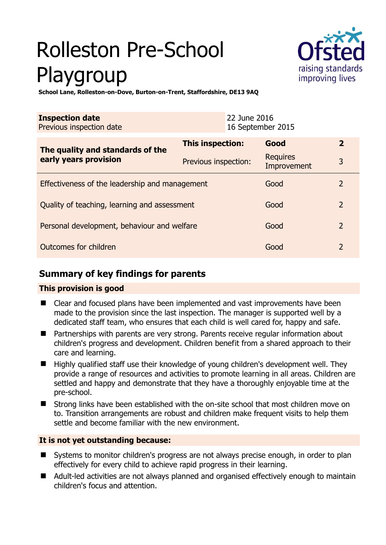# Rolleston Pre-School Playgroup



**School Lane, Rolleston-on-Dove, Burton-on-Trent, Staffordshire, DE13 9AQ** 

| <b>Inspection date</b><br>Previous inspection date        |                      | 22 June 2016<br>16 September 2015 |                                |                |
|-----------------------------------------------------------|----------------------|-----------------------------------|--------------------------------|----------------|
| The quality and standards of the<br>early years provision | This inspection:     |                                   | Good                           | $\overline{2}$ |
|                                                           | Previous inspection: |                                   | <b>Requires</b><br>Improvement | 3              |
| Effectiveness of the leadership and management            |                      |                                   | Good                           | $\mathcal{L}$  |
| Quality of teaching, learning and assessment              |                      |                                   | Good                           | 2              |
| Personal development, behaviour and welfare               |                      |                                   | Good                           | 2              |
| Outcomes for children                                     |                      |                                   | Good                           | $\overline{2}$ |

# **Summary of key findings for parents**

# **This provision is good**

- Clear and focused plans have been implemented and vast improvements have been made to the provision since the last inspection. The manager is supported well by a dedicated staff team, who ensures that each child is well cared for, happy and safe.
- Partnerships with parents are very strong. Parents receive regular information about children's progress and development. Children benefit from a shared approach to their care and learning.
- Highly qualified staff use their knowledge of young children's development well. They provide a range of resources and activities to promote learning in all areas. Children are settled and happy and demonstrate that they have a thoroughly enjoyable time at the pre-school.
- Strong links have been established with the on-site school that most children move on to. Transition arrangements are robust and children make frequent visits to help them settle and become familiar with the new environment.

# **It is not yet outstanding because:**

- Systems to monitor children's progress are not always precise enough, in order to plan effectively for every child to achieve rapid progress in their learning.
- Adult-led activities are not always planned and organised effectively enough to maintain children's focus and attention.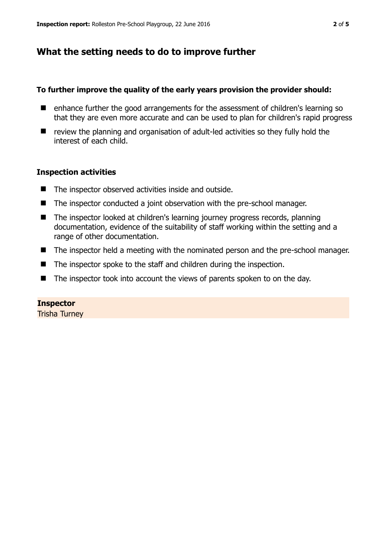# **What the setting needs to do to improve further**

### **To further improve the quality of the early years provision the provider should:**

- enhance further the good arrangements for the assessment of children's learning so that they are even more accurate and can be used to plan for children's rapid progress
- review the planning and organisation of adult-led activities so they fully hold the interest of each child.

# **Inspection activities**

- The inspector observed activities inside and outside.
- The inspector conducted a joint observation with the pre-school manager.
- The inspector looked at children's learning journey progress records, planning documentation, evidence of the suitability of staff working within the setting and a range of other documentation.
- The inspector held a meeting with the nominated person and the pre-school manager.
- The inspector spoke to the staff and children during the inspection.
- The inspector took into account the views of parents spoken to on the day.

#### **Inspector**

Trisha Turney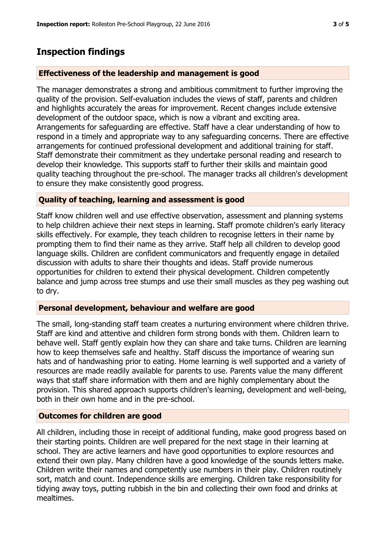# **Inspection findings**

# **Effectiveness of the leadership and management is good**

The manager demonstrates a strong and ambitious commitment to further improving the quality of the provision. Self-evaluation includes the views of staff, parents and children and highlights accurately the areas for improvement. Recent changes include extensive development of the outdoor space, which is now a vibrant and exciting area. Arrangements for safeguarding are effective. Staff have a clear understanding of how to respond in a timely and appropriate way to any safeguarding concerns. There are effective arrangements for continued professional development and additional training for staff. Staff demonstrate their commitment as they undertake personal reading and research to develop their knowledge. This supports staff to further their skills and maintain good quality teaching throughout the pre-school. The manager tracks all children's development to ensure they make consistently good progress.

# **Quality of teaching, learning and assessment is good**

Staff know children well and use effective observation, assessment and planning systems to help children achieve their next steps in learning. Staff promote children's early literacy skills effectively. For example, they teach children to recognise letters in their name by prompting them to find their name as they arrive. Staff help all children to develop good language skills. Children are confident communicators and frequently engage in detailed discussion with adults to share their thoughts and ideas. Staff provide numerous opportunities for children to extend their physical development. Children competently balance and jump across tree stumps and use their small muscles as they peg washing out to dry.

# **Personal development, behaviour and welfare are good**

The small, long-standing staff team creates a nurturing environment where children thrive. Staff are kind and attentive and children form strong bonds with them. Children learn to behave well. Staff gently explain how they can share and take turns. Children are learning how to keep themselves safe and healthy. Staff discuss the importance of wearing sun hats and of handwashing prior to eating. Home learning is well supported and a variety of resources are made readily available for parents to use. Parents value the many different ways that staff share information with them and are highly complementary about the provision. This shared approach supports children's learning, development and well-being, both in their own home and in the pre-school.

# **Outcomes for children are good**

All children, including those in receipt of additional funding, make good progress based on their starting points. Children are well prepared for the next stage in their learning at school. They are active learners and have good opportunities to explore resources and extend their own play. Many children have a good knowledge of the sounds letters make. Children write their names and competently use numbers in their play. Children routinely sort, match and count. Independence skills are emerging. Children take responsibility for tidying away toys, putting rubbish in the bin and collecting their own food and drinks at mealtimes.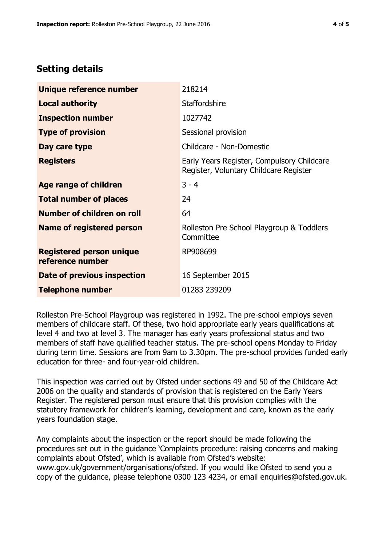# **Setting details**

| Unique reference number                             | 218214                                                                               |  |
|-----------------------------------------------------|--------------------------------------------------------------------------------------|--|
| <b>Local authority</b>                              | <b>Staffordshire</b>                                                                 |  |
| <b>Inspection number</b>                            | 1027742                                                                              |  |
| <b>Type of provision</b>                            | Sessional provision                                                                  |  |
| Day care type                                       | Childcare - Non-Domestic                                                             |  |
| <b>Registers</b>                                    | Early Years Register, Compulsory Childcare<br>Register, Voluntary Childcare Register |  |
| <b>Age range of children</b>                        | $3 - 4$                                                                              |  |
| <b>Total number of places</b>                       | 24                                                                                   |  |
| <b>Number of children on roll</b>                   | 64                                                                                   |  |
| Name of registered person                           | Rolleston Pre School Playgroup & Toddlers<br>Committee                               |  |
| <b>Registered person unique</b><br>reference number | RP908699                                                                             |  |
| Date of previous inspection                         | 16 September 2015                                                                    |  |
| <b>Telephone number</b>                             | 01283 239209                                                                         |  |

Rolleston Pre-School Playgroup was registered in 1992. The pre-school employs seven members of childcare staff. Of these, two hold appropriate early years qualifications at level 4 and two at level 3. The manager has early years professional status and two members of staff have qualified teacher status. The pre-school opens Monday to Friday during term time. Sessions are from 9am to 3.30pm. The pre-school provides funded early education for three- and four-year-old children.

This inspection was carried out by Ofsted under sections 49 and 50 of the Childcare Act 2006 on the quality and standards of provision that is registered on the Early Years Register. The registered person must ensure that this provision complies with the statutory framework for children's learning, development and care, known as the early years foundation stage.

Any complaints about the inspection or the report should be made following the procedures set out in the guidance 'Complaints procedure: raising concerns and making complaints about Ofsted', which is available from Ofsted's website: www.gov.uk/government/organisations/ofsted. If you would like Ofsted to send you a copy of the guidance, please telephone 0300 123 4234, or email enquiries@ofsted.gov.uk.